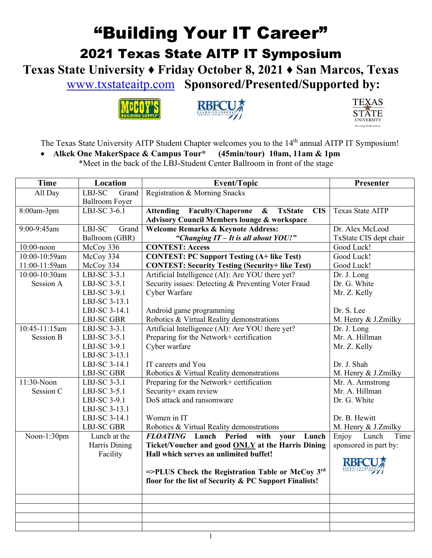## "Building Your IT Career" 2021 Texas State AITP IT Symposium

**Texas State University ♦ Friday October 8, 2021 ♦ San Marcos, Texas** [www.txstateaitp.com](http://www.txstateaitp.com/) **Sponsored/Presented/Supported by:**







The Texas State University AITP Student Chapter welcomes you to the 14<sup>th</sup> annual AITP IT Symposium!

• **Alkek One MakerSpace & Campus Tour\* (45min/tour) 10am, 11am & 1pm**

\*Meet in the back of the LBJ-Student Center Ballroom in front of the stage

| Time             | Location              | <b>Event/Topic</b>                                                    | Presenter               |
|------------------|-----------------------|-----------------------------------------------------------------------|-------------------------|
| All Day          | LBJ-SC<br>Grand       | Registration & Morning Snacks                                         |                         |
|                  | <b>Ballroom Foyer</b> |                                                                       |                         |
| 8:00am-3pm       | LBJ-SC 3-6.1          | Attending Faculty/Chaperone & TxState<br><b>CIS</b>                   | <b>Texas State AITP</b> |
|                  |                       | <b>Advisory Council Members lounge &amp; workspace</b>                |                         |
| 9:00-9:45am      | LBJ-SC<br>Grand       | <b>Welcome Remarks &amp; Keynote Address:</b>                         | Dr. Alex McLeod         |
|                  | Ballroom (GBR)        | "Changing IT - It is all about YOU!"                                  | TxState CIS dept chair  |
| 10:00-noon       | McCoy 336             | <b>CONTEST: Access</b>                                                | Good Luck!              |
| 10:00-10:59am    | McCoy 334             | <b>CONTEST: PC Support Testing (A+ like Test)</b>                     | Good Luck!              |
| 11:00-11:59am    | McCoy 334             | <b>CONTEST: Security Testing (Security+ like Test)</b>                | Good Luck!              |
| 10:00-10:30am    | LBJ-SC 3-3.1          | Artificial Intelligence (AI): Are YOU there yet?                      | Dr. J. Long             |
| Session A        | LBJ-SC 3-5.1          | Security issues: Detecting & Preventing Voter Fraud                   | Dr. G. White            |
|                  | LBJ-SC 3-9.1          | Cyber Warfare                                                         | Mr. Z. Kelly            |
|                  | LBJ-SC 3-13.1         |                                                                       |                         |
|                  | LBJ-SC 3-14.1         | Android game programming                                              | Dr. S. Lee              |
|                  | <b>LBJ-SC GBR</b>     | Robotics & Virtual Reality demonstrations                             | M. Henry & J.Zmilky     |
| 10:45-11:15am    | LBJ-SC 3-3.1          | Artificial Intelligence (AI): Are YOU there yet?                      | Dr. J. Long             |
| <b>Session B</b> | LBJ-SC 3-5.1          | Preparing for the Network+ certification                              | Mr. A. Hillman          |
|                  | LBJ-SC 3-9.1          | Cyber warfare                                                         | Mr. Z. Kelly            |
|                  | LBJ-SC 3-13.1         |                                                                       |                         |
|                  | LBJ-SC 3-14.1         | IT careers and You                                                    | Dr. J. Shah             |
|                  | <b>LBJ-SC GBR</b>     | Robotics & Virtual Reality demonstrations                             | M. Henry & J.Zmilky     |
| 11:30-Noon       | LBJ-SC 3-3.1          | Preparing for the Network+ certification                              | Mr. A. Armstrong        |
| Session C        | LBJ-SC 3-5.1          | Security+ exam review                                                 | Mr. A. Hillman          |
|                  | LBJ-SC 3-9.1          | DoS attack and ransomware                                             | Dr. G. White            |
|                  | LBJ-SC 3-13.1         |                                                                       |                         |
|                  | LBJ-SC 3-14.1         | Women in IT                                                           | Dr. B. Hewitt           |
|                  | <b>LBJ-SC GBR</b>     | Robotics & Virtual Reality demonstrations                             | M. Henry & J.Zmilky     |
| Noon-1:30pm      | Lunch at the          | <b>FLOATING</b> Lunch Period with<br>your<br>Lunch                    | Enjoy<br>Lunch<br>Time  |
|                  | Harris Dining         | Ticket/Voucher and good <b>ONLY</b> at the Harris Dining              | sponsored in part by:   |
|                  | Facility              | Hall which serves an unlimited buffet!                                |                         |
|                  |                       |                                                                       | <b>RBF</b>              |
|                  |                       | $=\text{PLLUS}$ Check the Registration Table or McCoy $3^{\text{rd}}$ |                         |
|                  |                       | floor for the list of Security & PC Support Finalists!                |                         |
|                  |                       |                                                                       |                         |
|                  |                       |                                                                       |                         |
|                  |                       |                                                                       |                         |
|                  |                       |                                                                       |                         |
|                  |                       |                                                                       |                         |